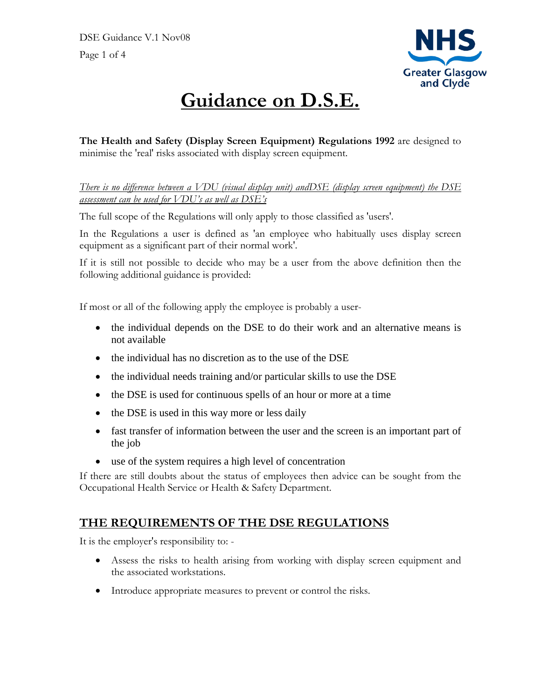

# **Guidance on D.S.E.**

**The Health and Safety (Display Screen Equipment) Regulations 1992** are designed to minimise the 'real' risks associated with display screen equipment.

*There is no difference between a VDU (visual display unit) andDSE (display screen equipment) the DSE assessment can be used for VDU's as well as DSE's*

The full scope of the Regulations will only apply to those classified as 'users'.

In the Regulations a user is defined as 'an employee who habitually uses display screen equipment as a significant part of their normal work'.

If it is still not possible to decide who may be a user from the above definition then the following additional guidance is provided:

If most or all of the following apply the employee is probably a user-

- the individual depends on the DSE to do their work and an alternative means is not available
- the individual has no discretion as to the use of the DSE
- the individual needs training and/or particular skills to use the DSE
- the DSE is used for continuous spells of an hour or more at a time
- the DSE is used in this way more or less daily
- fast transfer of information between the user and the screen is an important part of the job
- use of the system requires a high level of concentration

If there are still doubts about the status of employees then advice can be sought from the Occupational Health Service or Health & Safety Department.

#### **THE REQUIREMENTS OF THE DSE REGULATIONS**

It is the employer's responsibility to: -

- Assess the risks to health arising from working with display screen equipment and the associated workstations.
- Introduce appropriate measures to prevent or control the risks.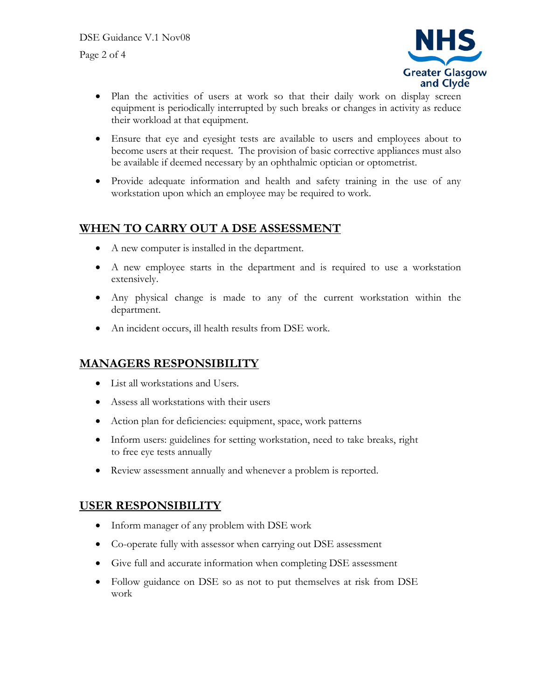

- Plan the activities of users at work so that their daily work on display screen equipment is periodically interrupted by such breaks or changes in activity as reduce their workload at that equipment.
- Ensure that eye and eyesight tests are available to users and employees about to become users at their request. The provision of basic corrective appliances must also be available if deemed necessary by an ophthalmic optician or optometrist.
- Provide adequate information and health and safety training in the use of any workstation upon which an employee may be required to work.

#### **WHEN TO CARRY OUT A DSE ASSESSMENT**

- A new computer is installed in the department.
- A new employee starts in the department and is required to use a workstation extensively.
- Any physical change is made to any of the current workstation within the department.
- An incident occurs, ill health results from DSE work.

#### **MANAGERS RESPONSIBILITY**

- List all workstations and Users.
- Assess all workstations with their users
- Action plan for deficiencies: equipment, space, work patterns
- Inform users: guidelines for setting workstation, need to take breaks, right to free eye tests annually
- Review assessment annually and whenever a problem is reported.

#### **USER RESPONSIBILITY**

- Inform manager of any problem with DSE work
- Co-operate fully with assessor when carrying out DSE assessment
- Give full and accurate information when completing DSE assessment
- Follow guidance on DSE so as not to put themselves at risk from DSE work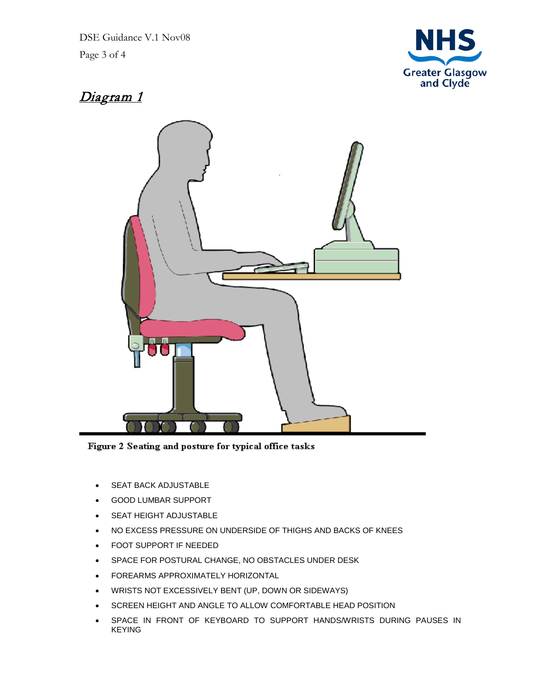DSE Guidance V.1 Nov08 Page 3 of 4



### Diagram 1



Figure 2 Seating and posture for typical office tasks

- SEAT BACK ADJUSTABLE
- GOOD LUMBAR SUPPORT
- SEAT HEIGHT ADJUSTABLE
- NO EXCESS PRESSURE ON UNDERSIDE OF THIGHS AND BACKS OF KNEES
- FOOT SUPPORT IF NEEDED
- SPACE FOR POSTURAL CHANGE, NO OBSTACLES UNDER DESK
- FOREARMS APPROXIMATELY HORIZONTAL
- WRISTS NOT EXCESSIVELY BENT (UP, DOWN OR SIDEWAYS)
- SCREEN HEIGHT AND ANGLE TO ALLOW COMFORTABLE HEAD POSITION
- SPACE IN FRONT OF KEYBOARD TO SUPPORT HANDS/WRISTS DURING PAUSES IN KEYING